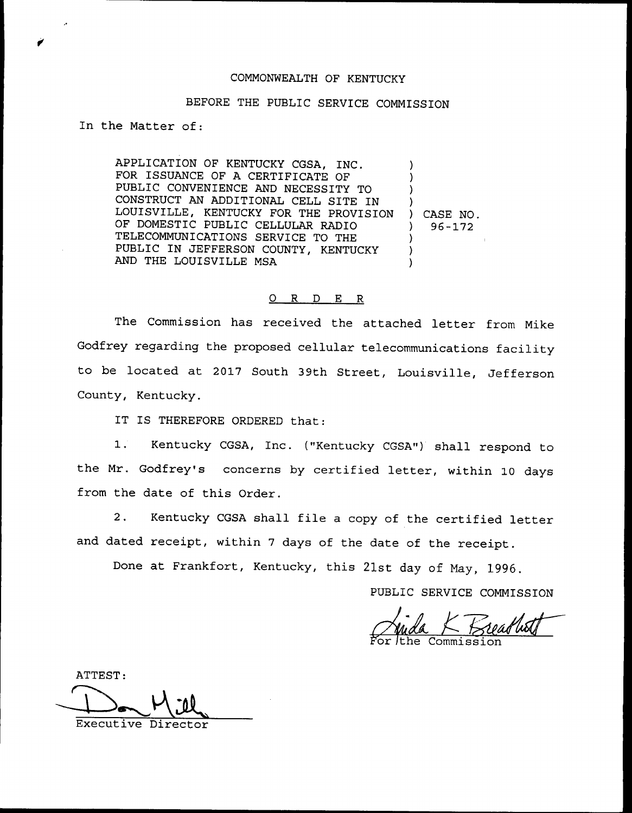## COMMONWEALTH OF KENTUCKY

## BEFORE THE PUBLIC SERVICE COMMISSION

In the Matter of:

APPLICATION OF KENTUCKY CGSA, INC. FOR ISSUANCE OF A CERTIFICATE OF PUBLIC CONVENIENCE AND NECESSITY TO CONSTRUCT AN ADDITIONAL CELL SITE IN LOUISVILLE, KENTUCKY FOR THE PROVISION OF DOMESTIC PUBLIC CELLULAR RADIO TELECOMMUNICATIONS SERVICE TO THE PUBLIC IN JEFFERSON COUNTY, KENTUCKY AND THE LOUISVILLE MSA ) ) ) ) ) CASE NO. ) 96-172 ) ) )

## 0 R <sup>D</sup> E R

The Commission has received the attached letter from Mike Godfrey regarding the proposed cellular telecommunications facility to be located at 2017 South 39th Street, Louisville, Jefferson County, Kentucky.

IT IS THEREFORE ORDERED that:

1. Kentucky CGSA, Inc. ("Kentucky CGSA") shall respond to the Mr. Godfrey's concerns by certified letter, within 10 days from the date of this Order.

2. Kentucky CGSA shall file <sup>a</sup> copy of the certified letter and dated receipt, within <sup>7</sup> days of the date of the receipt.

Done at Frankfort, Kentucky, this 21st day of May, 1996.

PUBLIC SERVICE COMMISSION

5'or For the /the Commission K Breadhath

ATTEST:

Executive Director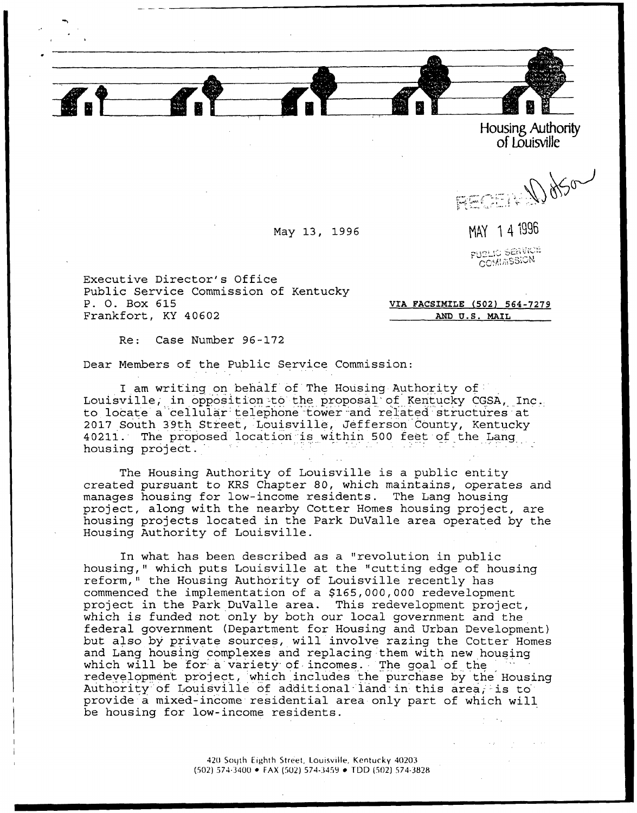

Housing Authority of Louisville

REGER DOSO

May 13, 1996 MAY 14 1996

PUBLIC SERVICE **COMMSSION** 

Executive Director's Office Public Service Commission of Kentucky P. 0. Box 615 Frankfort, KY 40602

UIA FACSIMILE (502) 564-7279 AND U.S. MAIL

Re: Case Number 96-172

Dear Members of the Public Service Commission

I am writing on behalf of The Housing Authority of Louisville; in opposition -to the proposal'of Kentucky CGSA, Inc. to locate a''cellular'telephone -tower.and related structures at 2017 South 39th Street, Louisville, Jefferson County, Kentucky 40211. The proposed location is within 500 feet of the Lang housing project.

The Housing Authority of Louisville is a public entity created pursuant to KRS Chapter 80, which maintains, operates and manages housing for low-income residents. The Lang housing project, along with the nearby Cotter Homes housing project, are housing projects located in the Park DuValle area operated by the Housing Authority of Louisville.

In what has been described as a "revolution in public housing," which puts Louisville at the "cutting edge of housing reform," the Housing Authority of Louisville recently has commenced the implementation of a \$165,000,000 redevelopment project in the Park DuValle area. This redevelopment project, which is funded not only by both our local government and the federal government (Department for Housing and Urban Development} but also by private sources, will involve razing the Cotter Homes and Lang housing complexes and replacing them with new housing which will be for a variety of incomes. The goal of the redeyelopmen't project, which includes the purchase by the Housing Authority of Louisville of additional land in this area, is to provide a mixed-income residential area only part of which will be housing for low-income residents.